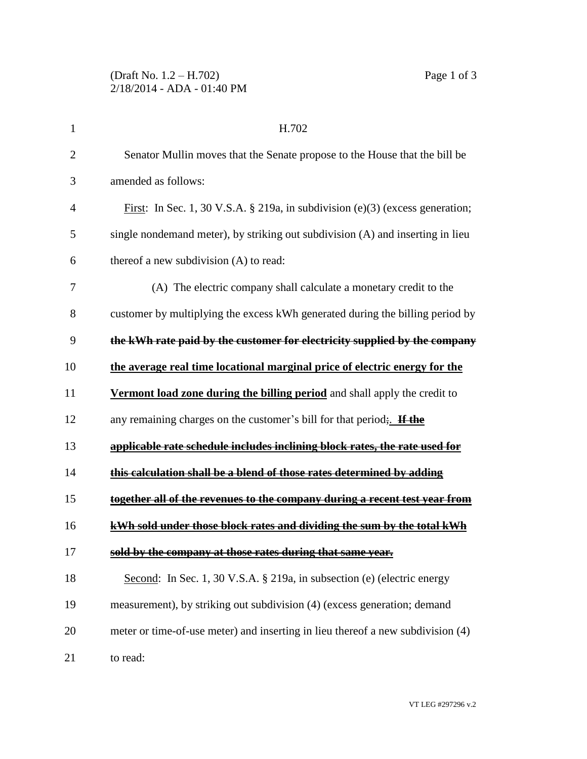| $\mathbf 1$    | H.702                                                                                 |
|----------------|---------------------------------------------------------------------------------------|
| $\overline{2}$ | Senator Mullin moves that the Senate propose to the House that the bill be            |
| 3              | amended as follows:                                                                   |
| 4              | <u>First</u> : In Sec. 1, 30 V.S.A. § 219a, in subdivision (e)(3) (excess generation; |
| 5              | single nondemand meter), by striking out subdivision (A) and inserting in lieu        |
| 6              | thereof a new subdivision (A) to read:                                                |
| 7              | (A) The electric company shall calculate a monetary credit to the                     |
| 8              | customer by multiplying the excess kWh generated during the billing period by         |
| 9              | the kWh rate paid by the customer for electricity supplied by the company             |
| 10             | the average real time locational marginal price of electric energy for the            |
| 11             | Vermont load zone during the billing period and shall apply the credit to             |
| 12             | any remaining charges on the customer's bill for that period. If the                  |
| 13             | applicable rate schedule includes inclining block rates, the rate used for            |
| 14             | this calculation shall be a blend of those rates determined by adding                 |
| 15             | together all of the revenues to the company during a recent test year from            |
| 16             | kWh sold under those block rates and dividing the sum by the total kWh                |
| 17             | sold by the company at those rates during that same year.                             |
| 18             | Second: In Sec. 1, 30 V.S.A. § 219a, in subsection (e) (electric energy               |
| 19             | measurement), by striking out subdivision (4) (excess generation; demand              |
| 20             | meter or time-of-use meter) and inserting in lieu thereof a new subdivision (4)       |
| 21             | to read:                                                                              |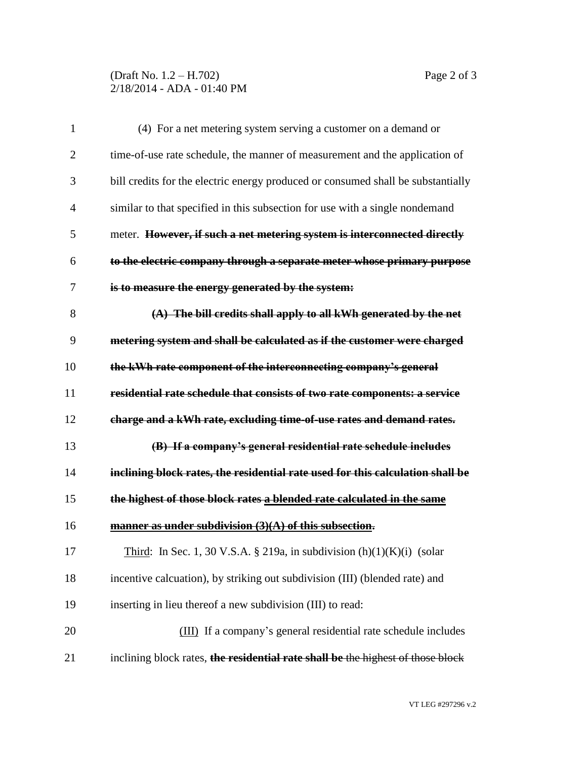## (Draft No. 1.2 – H.702) Page 2 of 3 2/18/2014 - ADA - 01:40 PM

| 1              | (4) For a net metering system serving a customer on a demand or                  |
|----------------|----------------------------------------------------------------------------------|
| $\overline{2}$ | time-of-use rate schedule, the manner of measurement and the application of      |
| 3              | bill credits for the electric energy produced or consumed shall be substantially |
| $\overline{4}$ | similar to that specified in this subsection for use with a single nondemand     |
| 5              | meter. However, if such a net metering system is interconnected directly         |
| 6              | to the electric company through a separate meter whose primary purpose           |
| 7              | is to measure the energy generated by the system:                                |
| 8              | (A) The bill credits shall apply to all kWh generated by the net                 |
| 9              | metering system and shall be calculated as if the customer were charged          |
| 10             | the kWh rate component of the interconnecting company's general                  |
| 11             | residential rate schedule that consists of two rate components: a service        |
| 12             | charge and a kWh rate, excluding time-of-use rates and demand rates.             |
| 13             | (B) If a company's general residential rate schedule includes                    |
| 14             | inclining block rates, the residential rate used for this calculation shall be   |
| 15             | the highest of those block rates a blended rate calculated in the same           |
| 16             | manner as under subdivision (3)(A) of this subsection.                           |
| 17             | Third: In Sec. 1, 30 V.S.A. § 219a, in subdivision $(h)(1)(K)(i)$ (solar         |
| 18             | incentive calcuation), by striking out subdivision (III) (blended rate) and      |
| 19             | inserting in lieu thereof a new subdivision (III) to read:                       |
| 20             | (III) If a company's general residential rate schedule includes                  |
| 21             | inclining block rates, the residential rate shall be the highest of those block  |